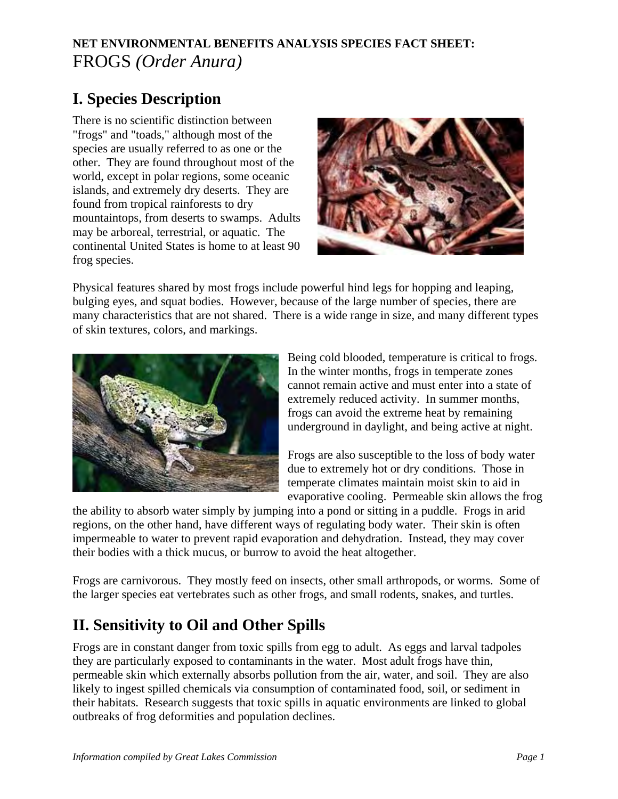## **NET ENVIRONMENTAL BENEFITS ANALYSIS SPECIES FACT SHEET:** FROGS *(Order Anura)*

# **I. Species Description**

There is no scientific distinction between "frogs" and "toads," although most of the species are usually referred to as one or the other. They are found throughout most of the world, except in polar regions, some oceanic islands, and extremely dry deserts. They are found from tropical rainforests to dry mountaintops, from deserts to swamps. Adults may be arboreal, terrestrial, or aquatic. The continental United States is home to at least 90 frog species.



Physical features shared by most frogs include powerful hind legs for hopping and leaping, bulging eyes, and squat bodies. However, because of the large number of species, there are many characteristics that are not shared. There is a wide range in size, and many different types of skin textures, colors, and markings.



Being cold blooded, temperature is critical to frogs. In the winter months, frogs in temperate zones cannot remain active and must enter into a state of extremely reduced activity. In summer months, frogs can avoid the extreme heat by remaining underground in daylight, and being active at night.

Frogs are also susceptible to the loss of body water due to extremely hot or dry conditions. Those in temperate climates maintain moist skin to aid in evaporative cooling. Permeable skin allows the frog

the ability to absorb water simply by jumping into a pond or sitting in a puddle. Frogs in arid regions, on the other hand, have different ways of regulating body water. Their skin is often impermeable to water to prevent rapid evaporation and dehydration. Instead, they may cover their bodies with a thick mucus, or burrow to avoid the heat altogether.

Frogs are carnivorous. They mostly feed on insects, other small arthropods, or worms. Some of the larger species eat vertebrates such as other frogs, and small rodents, snakes, and turtles.

# **II. Sensitivity to Oil and Other Spills**

Frogs are in constant danger from toxic spills from egg to adult. As eggs and larval tadpoles they are particularly exposed to contaminants in the water. Most adult frogs have thin, permeable skin which externally absorbs pollution from the air, water, and soil. They are also likely to ingest spilled chemicals via consumption of contaminated food, soil, or sediment in their habitats. Research suggests that toxic spills in aquatic environments are linked to global outbreaks of frog deformities and population declines.